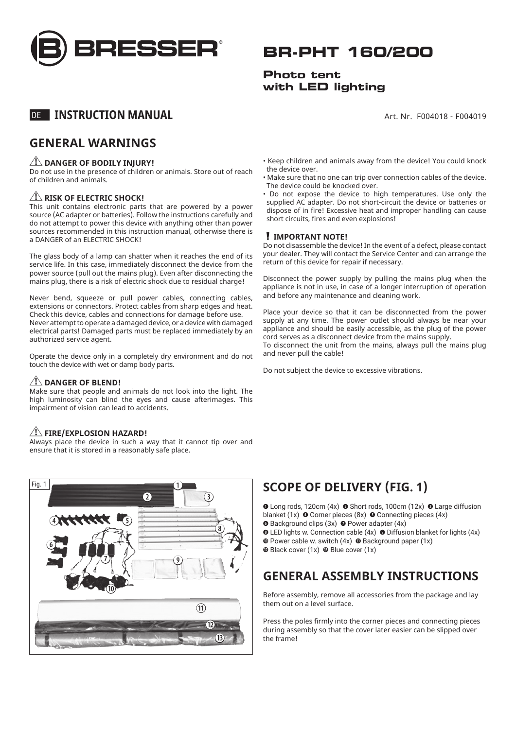

# **BR-PHT 160/200**

## **Photo tent with LED lighting**

Art. Nr. F004018 - F004019

## DE **INSTRUCTION MANUAL**

## **GENERAL WARNINGS**

#### **ZINGER OF BODILY INJURY!**

Do not use in the presence of children or animals. Store out of reach of children and animals.

#### *A* RISK OF ELECTRIC SHOCK!

This unit contains electronic parts that are powered by a power source (AC adapter or batteries). Follow the instructions carefully and do not attempt to power this device with anything other than power sources recommended in this instruction manual, otherwise there is a DANGER of an ELECTRIC SHOCK!

The glass body of a lamp can shatter when it reaches the end of its service life. In this case, immediately disconnect the device from the power source (pull out the mains plug). Even after disconnecting the mains plug, there is a risk of electric shock due to residual charge!

Never bend, squeeze or pull power cables, connecting cables, extensions or connectors. Protect cables from sharp edges and heat. Check this device, cables and connections for damage before use. Never attempt to operate a damaged device, or a device with damaged electrical parts! Damaged parts must be replaced immediately by an authorized service agent.

Operate the device only in a completely dry environment and do not touch the device with wet or damp body parts.

#### **DANGER OF BLEND!**

Make sure that people and animals do not look into the light. The high luminosity can blind the eyes and cause afterimages. This impairment of vision can lead to accidents.

### **FIRE/EXPLOSION HAZARD!**

Always place the device in such a way that it cannot tip over and ensure that it is stored in a reasonably safe place.



- Keep children and animals away from the device! You could knock the device over.
- Make sure that no one can trip over connection cables of the device. The device could be knocked over.
- Do not expose the device to high temperatures. Use only the supplied AC adapter. Do not short-circuit the device or batteries or dispose of in fire! Excessive heat and improper handling can cause short circuits, fires and even explosions!

#### **IMPORTANT NOTE!**

Do not disassemble the device! In the event of a defect, please contact your dealer. They will contact the Service Center and can arrange the return of this device for repair if necessary.

Disconnect the power supply by pulling the mains plug when the appliance is not in use, in case of a longer interruption of operation and before any maintenance and cleaning work.

Place your device so that it can be disconnected from the power supply at any time. The power outlet should always be near your appliance and should be easily accessible, as the plug of the power cord serves as a disconnect device from the mains supply.

To disconnect the unit from the mains, always pull the mains plug and never pull the cable!

Do not subject the device to excessive vibrations.

## **SCOPE OF DELIVERY (FIG. 1)**

**O** Long rods, 120cm (4x) **O** Short rods, 100cm (12x) **O** Large diffusion blanket (1x)  $\bullet$  Corner pieces (8x)  $\bullet$  Connecting pieces (4x)

- **O** Background clips (3x) **O** Power adapter (4x)
- $\odot$  LED lights w. Connection cable (4x)  $\odot$  Diffusion blanket for lights (4x)  $\bullet$  Power cable w. switch (4x)  $\bullet$  Background paper (1x)
- $\bullet$  Black cover (1x)  $\bullet$  Blue cover (1x)

## **GENERAL ASSEMBLY INSTRUCTIONS**

Before assembly, remove all accessories from the package and lay them out on a level surface.

Press the poles firmly into the corner pieces and connecting pieces during assembly so that the cover later easier can be slipped over the frame!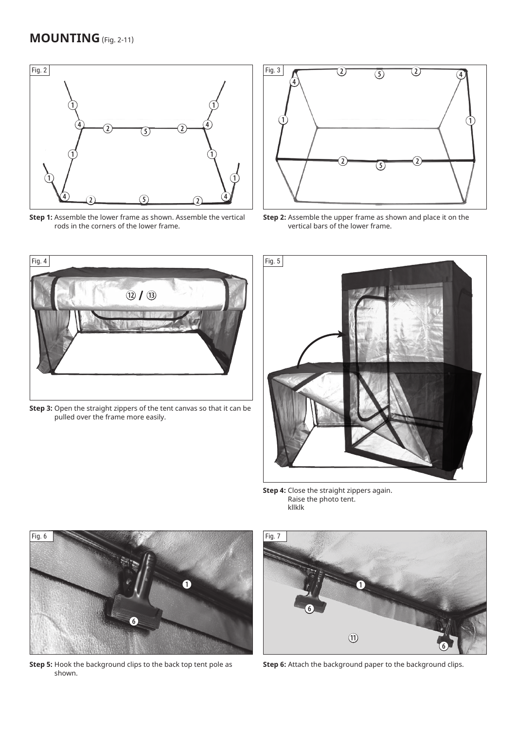

**Step 1:** Assemble the lower frame as shown. Assemble the vertical rods in the corners of the lower frame.



**Step 2:** Assemble the upper frame as shown and place it on the vertical bars of the lower frame.



**Step 3:** Open the straight zippers of the tent canvas so that it can be pulled over the frame more easily.



**Step 4:** Close the straight zippers again. Raise the photo tent. kllklk



**Step 5:** Hook the background clips to the back top tent pole as shown.



**Step 6:** Attach the background paper to the background clips.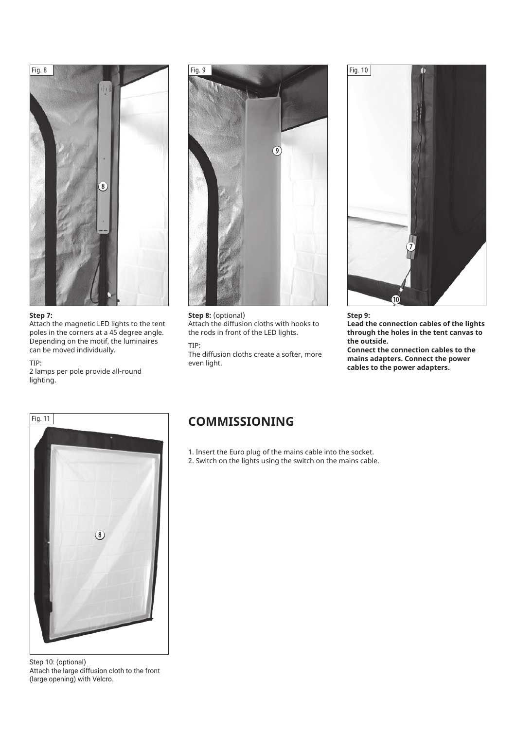

#### **Step 7:**

Attach the magnetic LED lights to the tent poles in the corners at a 45 degree angle. Depending on the motif, the luminaires can be moved individually.

#### TIP:

2 lamps per pole provide all-round lighting.



**Step 8:** (optional) Attach the diffusion cloths with hooks to the rods in front of the LED lights.

#### TIP:

The diffusion cloths create a softer, more even light.



**Step 9: Lead the connection cables of the lights through the holes in the tent canvas to the outside. Connect the connection cables to the mains adapters. Connect the power cables to the power adapters.**



Step 10: (optional) Attach the large diffusion cloth to the front (large opening) with Velcro.

- 1. Insert the Euro plug of the mains cable into the socket.
- 2. Switch on the lights using the switch on the mains cable.